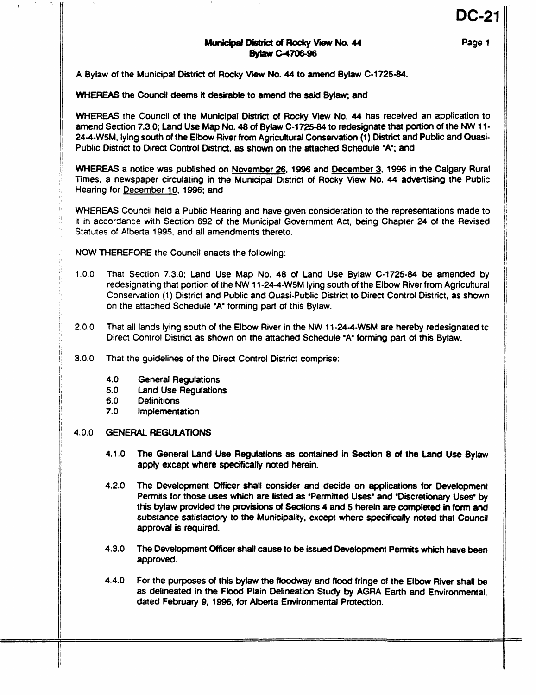A Bylaw of the Municipal District of Rocky View No. **44** to amend Bylaw **C-1725-84.** 

**WHEREAS** the Council deems it desirable to **amend** the said Bylaw; and

WHEREAS the Council *of* the Municipal District of Rocky View No. **44** has received an application to amend Section **7.3.0;** Land Use Map No. 48 of Bylaw C-1725-84 to redesignate that portion of the NW **1 1** - **244-WSM,** lying south **of** the Elbow **River** from Agricultural Consenration (1) District and Public and Quasi-Public District to Direct Control District, **as shown** *on* the attached Schedule **'A';** and

WHEREAS a notice was published on November 26, **1996** and December **3,** 1996 in the Calgary Rural Times, a newspaper circulating in the Municipal District of Rocky View No. **44** advertising the Public Hearing for December **10, 1996;** and

WHEREAS Council held a Public Hearing and have given consideration to the representations made to it in accordance with Section 692 of the Municipal Government Act, being Chapter 24 of the Revised Statutes of Alberta 1995, and all amendments thereto.

NOW **THEREFORE** the Council enacts the following:

- 1.0.0 That Section 7.3.0; Land Use Map No. **48 of** Land Use Bylaw C-1725-84 be amended by redesignating that portion of the NW **1** 1 -244W5M lying south of the Elbow River from Agricuttural Conservation (1) District and Public and Quasi-Public District to Direct Control District, as shown on the attached Schedule 'A' forming part of this Bylaw.
- **2.0.0** That all lands lying south of the Elbow River in the NW **11-244-W5M** are hereby redesignated tc Direct Control District as shown on the attached Schedule 'A' forming part of this Bylaw.
- **3.0.0** That the guidelines of the Direct Control District comprise:
	- 4.0 General Regulations
	- 5.0 Land Use Regulations
	- 6.0 Definitions
	- 7.0 Implementation

## **4.0.0 GENERAL REGULATIONS**

- **4.1.0** The General Land Use Regulations **as** contained in **Section** 8 *d* the Cand Use Bylaw **apply except** where **specificalty noted** herein.
- **4.2.0** The Development Officer **shall** consider and decide *on* applications **for** Development Permits **for** those uses which are listed as 'Permitted **Uses'** and 'Discretionary Uses' by this bylaw provided the provisions of Sections 4 and 5 herein are *completed* in form and substance satisfactory to the **Municipality,** except where specificalty **noted** that Council approval is required.
- **4.3.0** The Development Officer shall cause to be issued **Oevelopment** Permits which have been approved.
- **4.4.0 For** the purposes of this bylaw the floodway and flood fringe of the Elbow River shall be as delineated in the Flood Plain Delineation Study by AGRA Earth and Environmental, dated February 9, **1996,** for Alberta Environmental Protection.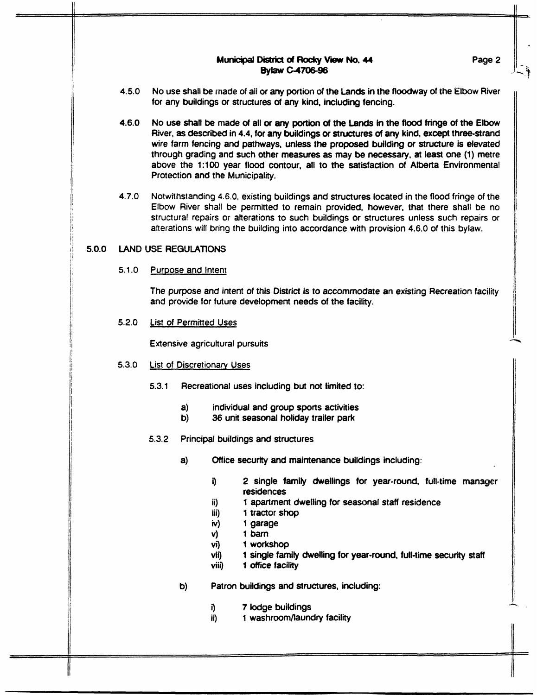- **4.5.0** No use shall be **made** of **rail or any portion of the** Lands in the Woodway of **the** Elbow River **for** any buildings **or** structures of *any* kind, including fencing.
- **4.6.0** No use shall be made of all **or any** portion **of** the Lands in the flood *fringe* of the Elbow River, **as** described in **4.4,** for **any** buildings **or** structures of **any** kind, except three-strand wire farm fencing and pathways, unless *the* proposed building **or** structure is elevated through grading and such other measures as may be necessary, at least one (1) metre above the 1:lOO year flood **contour,** all **to** the satisfaction of Alberta Environmental Protection and the Municipality.
- **4.7.0** Notwithstanding 4.6.0, existing buildings and structures located in the flood fringe of the Elbow River **shall** be permitted to remain provided, however, that there **shall** be no structural repairs or atterations to such buildings **or** structures unless such repairs or alterations will bring the building into accordance with provision 4.6.0 of this bylaw.

# *50.0* LAND **USE REGUIATIONS**

5.1 **.O** Purpose and Intent

The purpose and intent of this District is to accommodate an existing Recreation facility and provide for future development needs of the facility.

*5.2.0* List of Permitted Uses

Extensive agricuttural pursuits

- 5.3.0 List of Discretionary Uses
	- **5.3.1** Recreational uses including **but** not limited to:
		- a) individual and group sports activities
		- b) 36 unit **seasonal** holiday trailer park
	- 5.3.2 Principal buildings and structures
		- **a)** Office security and maintenance buildings including:
			- *i)*  2 single family dwellings for year-round, full-time manager residences
			- ii) 1 apartment dwelling **for seasonal** staff residence
			- iii) 1 tractor *shop*
			- *iv)*  1 garage
			- **v)**  1 barn
			- *vi)*  1 workshop
			- **vii) 1** single family dwelling for year-round, full-time security staff
			- **viii)**  1 office facility
		- **b)** Patron buildings and structures, including:
			- i) *7* lodge buildings
			- **ii) d** washroom/laundry facility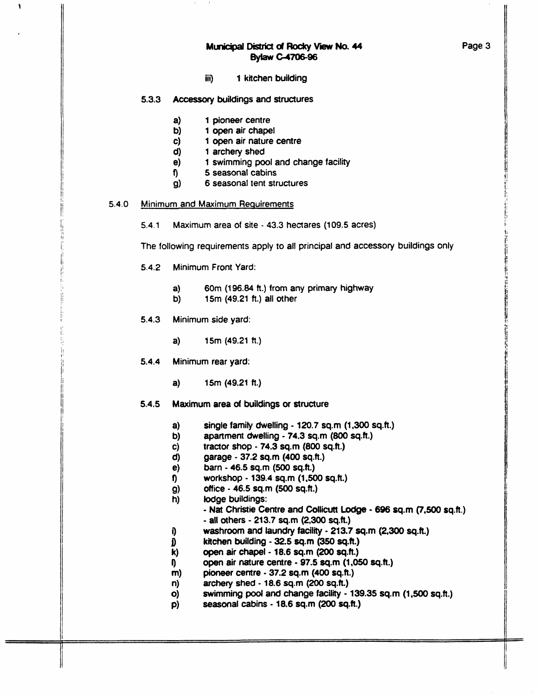- **iii)** 1 kitchen building
- **5.3.3** *Accessory* buildings and structures
	- a) **1** pioneer centre
	- **b) 1** open air chapel
		- **1** open air nature centre
	- **c)**  d) **1** archery shed
		- 1 swimming pool and change facility
	- **e) f)** 5 seasonal cabins<br>**g)** 6 seasonal tent str
	- g) 6 **seasonal** tent structures

#### **5.4.0** Minimum and Maximum Requirements

**5.4.1** Maximum area of site - **43.3** hectares (109.5 acres)

The **following** requirements apply to all principal and accessory buildings only

- **5.4.2** Minimum Front Yard:
	- **a) 60m** (196.84 ft.) from any primary highway
	- **b) 15m (49.21 ft.)** all **other**
- **5.4.3** Minimum side yard:
	- a) 15m **(49.21** ft.)
- **5.4.4** Minimum rear yard:
	- a) 15m **(49.21 ft.)**
- **5.4.5** Maximum area of **buildings or structure** 
	- $a)$ single family dwelling - **120.7 sq.m (1,300 sq.ft.)**
	- b) apartment dwelling - **74.3 sq.m** *(800* **sq.ft.)**
	- c) **tractor** shop - 74.3 sq.m (800 **sq.ft.)**
	- garage **37.2 sq.m (400 sq.ft.)**  d)
	- **barn 46.5 sq.m** *(SO0* **sq.ft.)**   $e)$
	- f) workshop - **139.4 sq.m (1,500 sq.ft.)**
	- office **46.5 sq.m (500** sq.ft.) **g**
	- lodge buildings:  $h)$

I)

- **Nat** Christie Centre and cdlicutt Lodge **696 sq.m (7,500** sq.ft.)
- **all** others **213.7** sq.m **(2,300 sq.ft.)**
- washroom **and** laundry **facility 213.7 sq.m (2,300 sq.ft.)**
- **kachen** building **325 sq.m (350 sq.ft.)**  Đ
- $\mathbf{k}$ *open* air chapel - 18.6 **sq.m (200 sq.ft,)**
- open air nature centre **97.S sq.m (1,050 sq.fi.)**   $\mathbf{v}$
- $m)$ pioneer centre - **37.2** sq.m **(400 sq.ft.)**
- archery shed **18.6 sq.m (200 sq.ft.)**  n)
- swimming pod and change facility **139.35 sq.m (1,500 sq.ft,)**   $\mathbf{o}$
- **seasonal** cabins 18.6 **sq.m** *(200* **sq.ft.)** D)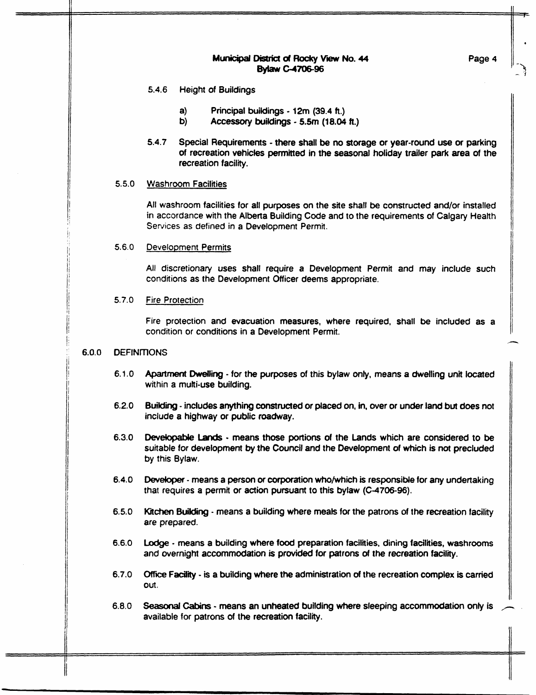- 5.4.6 Height of Buildings
	- a) Principal buildings - 12m (39.4 ft.)
	- **b) Accessory buildings** - **5.m (18.04** *ft.)*
- **5.4.7** Special Requirements there shall be **no storage or** year-round **use** or parking of recreation vehicles permitted in the seasonal holiday trailer park area of the recreation facility.

#### *5.5.0*  Washroom Facilities

All washroom facilities for all purposes on the site **shall** be constructed and/or installed in accordance **with** the **Alberta** Building Code and to the requirements of Calgary Health Services as defined in a Development Permit.

*5.6.0*  Development Permits

> All discretionary uses shall require a Development Permit and **may** include such conditions as the Development Officer deems appropriate.

#### *5.7.0*  Fire Protection

Fire protection and evacuation measures, where required, **shall** be included as a condition or conditions in a Development Permit.

#### *6.0.0* **DEFINmONS**

- **6.1 .O**  *Apartment* **owelling**  for the purposes of this bylaw only, means a dwelling unit located within a multi-use building.
- **6.2.0 BuiWi** - includes anything constructed or placed **on,** in, over or under **land but** does **not**  include a highway or public **roadway.**
- **6.3.0**  Developable Lands - means those portions of the Lands which are considered to be suitable for development by the **Council** and the Development of which is not precluded by this **Bylaw.**
- **6.4.0**  Developer - means a person or corporation who/which is responsible for any undertaking **that requires a permit or** action pursuant to this **bylaw (C-4706-96).**
- *6.5.0*  Kitchen Building - means a building where meak for the patrons of the recreation facility are prepared.
- 6.6.0 Lodge means a building where food preparation facilities, dining facilities, washrooms and overnight accommodation **is provided for patrons of** *the* **recreation facility.**
- *6.7.0 office* **Facility** - is a building **Were the** administration of the recreation **complex** is carried **Out.**
- *6.8.0 Seasmal* **Cabins** - means an **unheated** building where steeping accommodation only is available **lor** patrons of **the** recreation facility.

Page **4** 

<sup>I</sup>' **-4**  - **'j**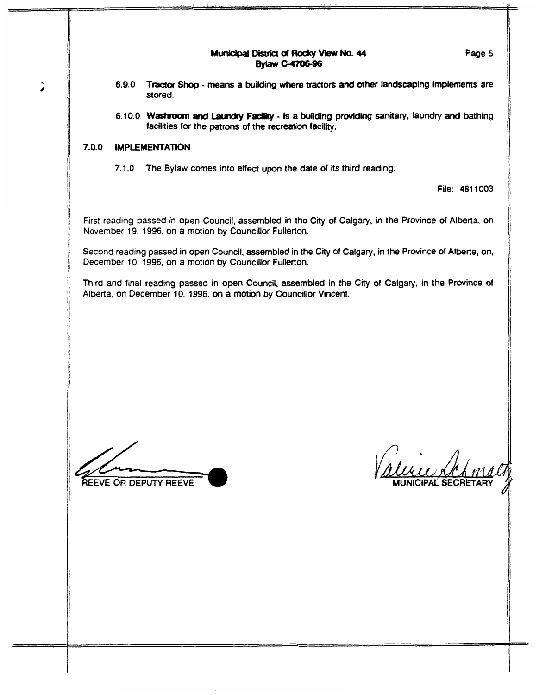- **6.9.0 Tractor Shop means a building where tractors and other landscaping implements are** stored.
- **6.10.0 Washroom and** Laundry **Facility**  is a building providing sanitary, laundry and bathing facilities for the **patrons** of the **recreation facilrty.**

## *7.0.0* **IMPLEMENTA7lON**

7.1.0 The **Bylaw** comes into effect upon the date of its third reading.

File: 481 1003

**First** reading **passed** in open Council, assembled in the **Crty** of Calgary, in the Province of Alberta, **on November 19,** 1996, on a motion by Councillor Fullerton.

**Second reading passed** in open Council, assernbled in the Crty of Calgary, **in** the Province of Alberta, on, **December** 10, 1996, **on** a motion by Councillor Fullerton.

**Third and final reading** passed **in** open Council, assembled in the *City* of Calgary, in the Province of **Alberta,** on **December 10, 1996,** on a motion by Councillor Vincent.

*6" A* - **REEVE OR DEPUTV REEVE** 

**Page** *5*